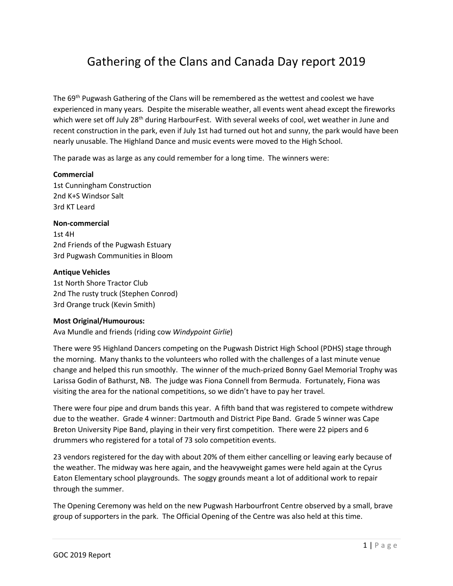# Gathering of the Clans and Canada Day report 2019

The 69th Pugwash Gathering of the Clans will be remembered as the wettest and coolest we have experienced in many years. Despite the miserable weather, all events went ahead except the fireworks which were set off July 28<sup>th</sup> during HarbourFest. With several weeks of cool, wet weather in June and recent construction in the park, even if July 1st had turned out hot and sunny, the park would have been nearly unusable. The Highland Dance and music events were moved to the High School.

The parade was as large as any could remember for a long time. The winners were:

### **Commercial**

1st Cunningham Construction 2nd K+S Windsor Salt 3rd KT Leard

### **Non-commercial**

1st 4H 2nd Friends of the Pugwash Estuary 3rd Pugwash Communities in Bloom

# **Antique Vehicles**

1st North Shore Tractor Club 2nd The rusty truck (Stephen Conrod) 3rd Orange truck (Kevin Smith)

# **Most Original/Humourous:**

Ava Mundle and friends (riding cow *Windypoint Girlie*)

There were 95 Highland Dancers competing on the Pugwash District High School (PDHS) stage through the morning. Many thanks to the volunteers who rolled with the challenges of a last minute venue change and helped this run smoothly. The winner of the much-prized Bonny Gael Memorial Trophy was Larissa Godin of Bathurst, NB. The judge was Fiona Connell from Bermuda. Fortunately, Fiona was visiting the area for the national competitions, so we didn't have to pay her travel.

There were four pipe and drum bands this year. A fifth band that was registered to compete withdrew due to the weather. Grade 4 winner: Dartmouth and District Pipe Band. Grade 5 winner was Cape Breton University Pipe Band, playing in their very first competition. There were 22 pipers and 6 drummers who registered for a total of 73 solo competition events.

23 vendors registered for the day with about 20% of them either cancelling or leaving early because of the weather. The midway was here again, and the heavyweight games were held again at the Cyrus Eaton Elementary school playgrounds. The soggy grounds meant a lot of additional work to repair through the summer.

The Opening Ceremony was held on the new Pugwash Harbourfront Centre observed by a small, brave group of supporters in the park. The Official Opening of the Centre was also held at this time.